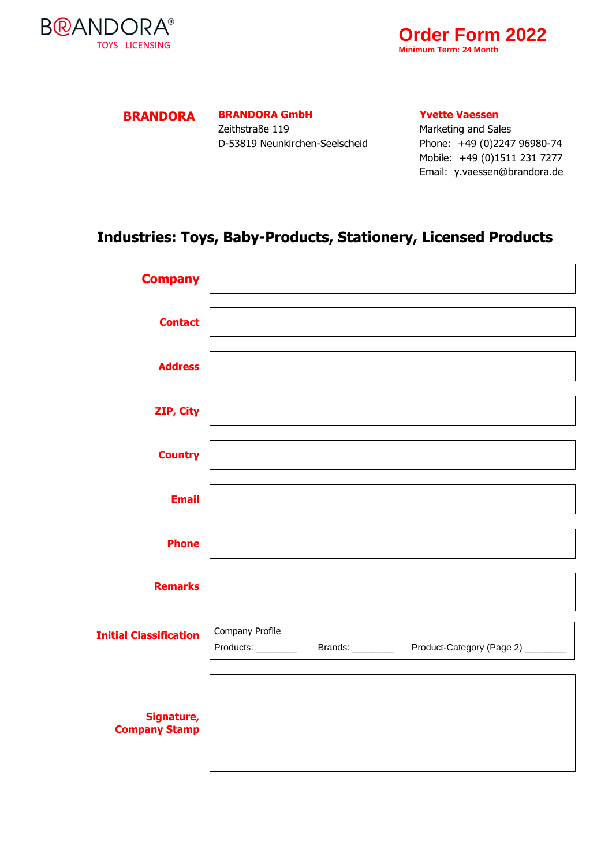



## **BRANDORA BRANDORA GmbH**

Zeithstraße 119 D-53819 Neunkirchen-Seelscheid **Yvette Vaessen**

Marketing and Sales Phone: +49 (0)2247 96980-74 Mobile: +49 (0)1511 231 7277 Email: y.vaessen@brandora.de

## **Industries: Toys, Baby-Products, Stationery, Licensed Products**

| <b>Company</b>                     |                 |  |
|------------------------------------|-----------------|--|
| <b>Contact</b>                     |                 |  |
| <b>Address</b>                     |                 |  |
| ZIP, City                          |                 |  |
| <b>Country</b>                     |                 |  |
| <b>Email</b>                       |                 |  |
| <b>Phone</b>                       |                 |  |
| <b>Remarks</b>                     |                 |  |
| <b>Initial Classification</b>      | Company Profile |  |
| Signature,<br><b>Company Stamp</b> |                 |  |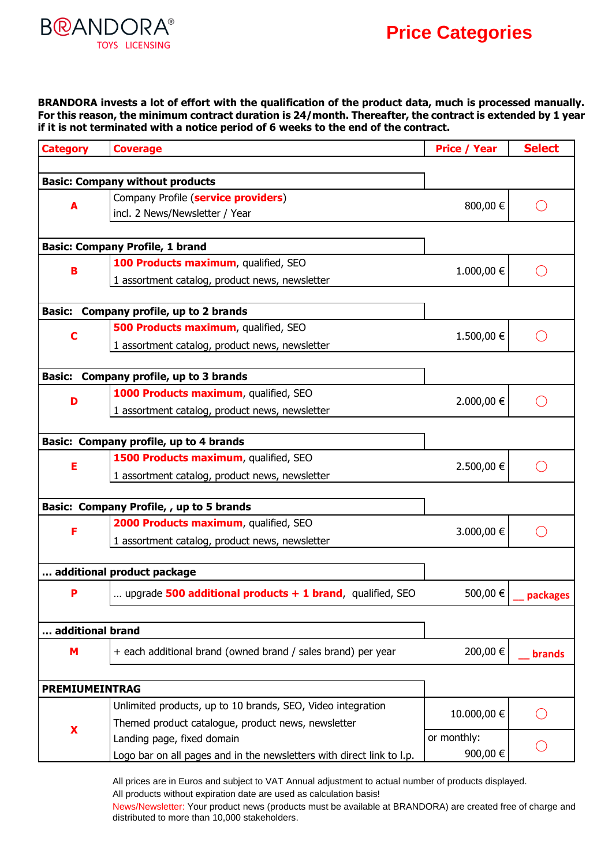## **B@ANDORA® TOYS LICENSING**

**BRANDORA invests a lot of effort with the qualification of the product data, much is processed manually. For this reason, the minimum contract duration is 24/month. Thereafter, the contract is extended by 1 year if it is not terminated with a notice period of 6 weeks to the end of the contract.**

| <b>Category</b>                                  | <b>Coverage</b>                                                       | <b>Price / Year</b> | <b>Select</b> |  |  |
|--------------------------------------------------|-----------------------------------------------------------------------|---------------------|---------------|--|--|
|                                                  |                                                                       |                     |               |  |  |
| <b>Basic: Company without products</b>           |                                                                       |                     |               |  |  |
| A                                                | Company Profile (service providers)                                   | 800,00 €            |               |  |  |
|                                                  | incl. 2 News/Newsletter / Year                                        |                     |               |  |  |
|                                                  |                                                                       |                     |               |  |  |
| <b>Basic: Company Profile, 1 brand</b>           |                                                                       |                     |               |  |  |
| B                                                | 100 Products maximum, qualified, SEO                                  | 1.000,00 €          |               |  |  |
|                                                  | 1 assortment catalog, product news, newsletter                        |                     |               |  |  |
|                                                  |                                                                       |                     |               |  |  |
| Company profile, up to 2 brands<br><b>Basic:</b> |                                                                       |                     |               |  |  |
| С                                                | 500 Products maximum, qualified, SEO                                  | 1.500,00 €          |               |  |  |
|                                                  | 1 assortment catalog, product news, newsletter                        |                     |               |  |  |
|                                                  |                                                                       |                     |               |  |  |
| <b>Basic:</b>                                    | Company profile, up to 3 brands                                       |                     |               |  |  |
| D                                                | 1000 Products maximum, qualified, SEO                                 | 2.000,00 €          |               |  |  |
|                                                  | 1 assortment catalog, product news, newsletter                        |                     |               |  |  |
|                                                  |                                                                       |                     |               |  |  |
|                                                  | <b>Basic: Company profile, up to 4 brands</b>                         |                     |               |  |  |
| E                                                | 1500 Products maximum, qualified, SEO                                 | 2.500,00 €          |               |  |  |
|                                                  | 1 assortment catalog, product news, newsletter                        |                     |               |  |  |
|                                                  |                                                                       |                     |               |  |  |
| Basic: Company Profile, , up to 5 brands         |                                                                       |                     |               |  |  |
|                                                  | 2000 Products maximum, qualified, SEO                                 | 3.000,00 €          |               |  |  |
|                                                  | 1 assortment catalog, product news, newsletter                        |                     |               |  |  |
|                                                  |                                                                       |                     |               |  |  |
|                                                  | additional product package                                            |                     |               |  |  |
| Р                                                | upgrade 500 additional products $+ 1$ brand, qualified, SEO           | 500,00 €            | packages      |  |  |
|                                                  |                                                                       |                     |               |  |  |
| additional brand                                 |                                                                       |                     |               |  |  |
| M                                                | + each additional brand (owned brand / sales brand) per year          | 200,00€             | brands        |  |  |
|                                                  |                                                                       |                     |               |  |  |
| <b>PREMIUMEINTRAG</b>                            |                                                                       |                     |               |  |  |
|                                                  | Unlimited products, up to 10 brands, SEO, Video integration           |                     |               |  |  |
| $\mathbf x$                                      | Themed product catalogue, product news, newsletter                    | 10.000,00 €         |               |  |  |
|                                                  | Landing page, fixed domain                                            | or monthly:         |               |  |  |
|                                                  | Logo bar on all pages and in the newsletters with direct link to l.p. | 900,00 €            |               |  |  |
|                                                  |                                                                       |                     |               |  |  |

All prices are in Euros and subject to VAT Annual adjustment to actual number of products displayed. All products without expiration date are used as calculation basis!

News/Newsletter: Your product news (products must be available at BRANDORA) are created free of charge and distributed to more than 10,000 stakeholders.